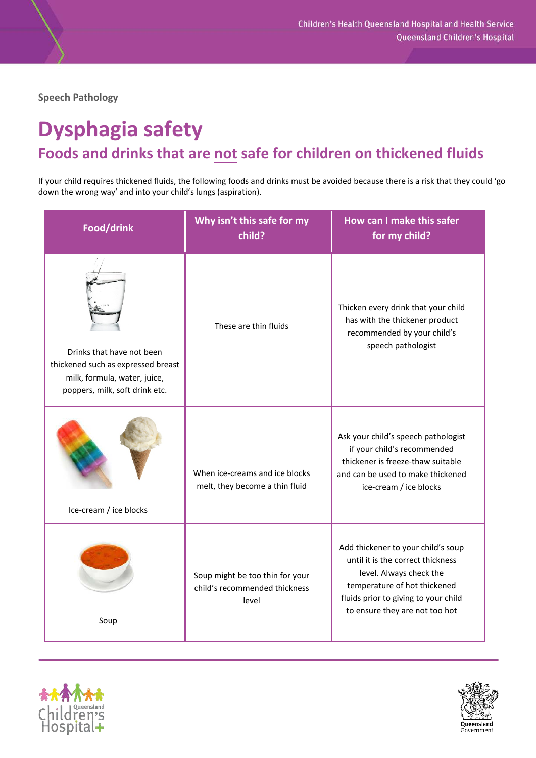**Speech Pathology**

## **Dysphagia safety Foods and drinks that are not safe for children on thickened fluids**

If your child requires thickened fluids, the following foods and drinks must be avoided because there is a risk that they could 'go down the wrong way' and into your child's lungs (aspiration).

| Food/drink                                                                                                                        | Why isn't this safe for my<br>child?                                      | How can I make this safer<br>for my child?                                                                                                                                                                   |
|-----------------------------------------------------------------------------------------------------------------------------------|---------------------------------------------------------------------------|--------------------------------------------------------------------------------------------------------------------------------------------------------------------------------------------------------------|
| Drinks that have not been<br>thickened such as expressed breast<br>milk, formula, water, juice,<br>poppers, milk, soft drink etc. | These are thin fluids                                                     | Thicken every drink that your child<br>has with the thickener product<br>recommended by your child's<br>speech pathologist                                                                                   |
| Ice-cream / ice blocks                                                                                                            | When ice-creams and ice blocks<br>melt, they become a thin fluid          | Ask your child's speech pathologist<br>if your child's recommended<br>thickener is freeze-thaw suitable<br>and can be used to make thickened<br>ice-cream / ice blocks                                       |
| Soup                                                                                                                              | Soup might be too thin for your<br>child's recommended thickness<br>level | Add thickener to your child's soup<br>until it is the correct thickness<br>level. Always check the<br>temperature of hot thickened<br>fluids prior to giving to your child<br>to ensure they are not too hot |